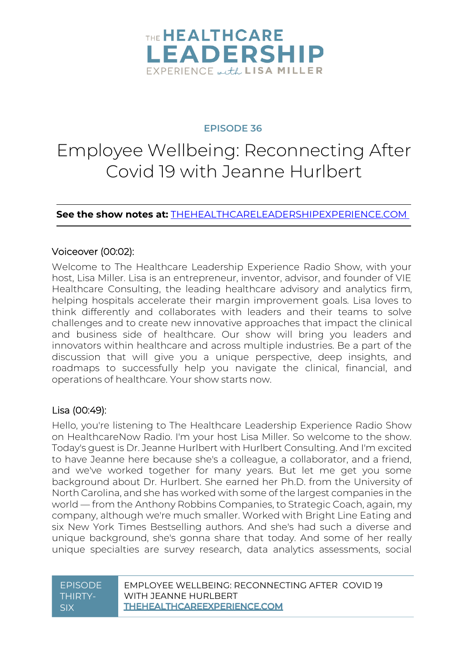

#### **EPISODE 36**

# Employee Wellbeing: Reconnecting After Covid 19 with Jeanne Hurlbert

**See the show notes at:** [THEHEALTHCARELEADERSHIPEXPERIENCE.COM](http://thehealthcareleadershipexperience.com/)

#### Voiceover (00:02):

Welcome to The Healthcare Leadership Experience Radio Show, with your host, Lisa Miller. Lisa is an entrepreneur, inventor, advisor, and founder of VIE Healthcare Consulting, the leading healthcare advisory and analytics firm, helping hospitals accelerate their margin improvement goals. Lisa loves to think differently and collaborates with leaders and their teams to solve challenges and to create new innovative approaches that impact the clinical and business side of healthcare. Our show will bring you leaders and innovators within healthcare and across multiple industries. Be a part of the discussion that will give you a unique perspective, deep insights, and roadmaps to successfully help you navigate the clinical, financial, and operations of healthcare. Your show starts now.

#### Lisa (00:49):

Hello, you're listening to The Healthcare Leadership Experience Radio Show on HealthcareNow Radio. I'm your host Lisa Miller. So welcome to the show. Today's guest is Dr. Jeanne Hurlbert with Hurlbert Consulting. And I'm excited to have Jeanne here because she's a colleague, a collaborator, and a friend, and we've worked together for many years. But let me get you some background about Dr. Hurlbert. She earned her Ph.D. from the University of North Carolina, and she has worked with some of the largest companies in the world — from the Anthony Robbins Companies, to Strategic Coach, again, my company, although we're much smaller. Worked with Bright Line Eating and six New York Times Bestselling authors. And she's had such a diverse and unique background, she's gonna share that today. And some of her really unique specialties are survey research, data analytics assessments, social

| <b>FPISODE</b> | FMPLOYEE WELLBEING: RECONNECTING AFTER COVID 19 |
|----------------|-------------------------------------------------|
| THIRTY-        | WITH JEANNE HURLBERT                            |
| . SIX          | THEHEALTHCAREEXPERIENCE.COM                     |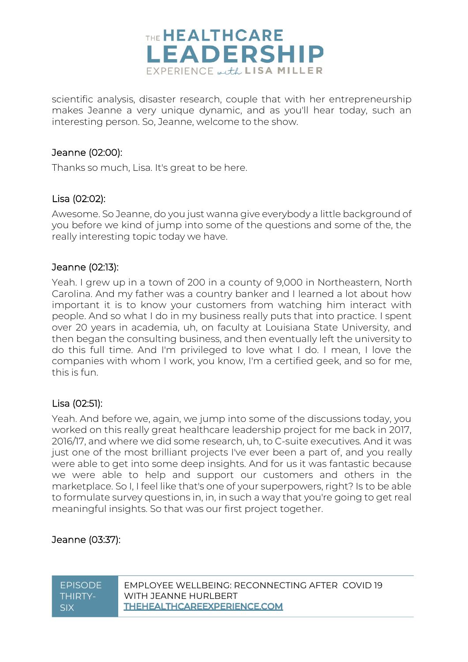

scientific analysis, disaster research, couple that with her entrepreneurship makes Jeanne a very unique dynamic, and as you'll hear today, such an interesting person. So, Jeanne, welcome to the show.

#### Jeanne (02:00):

Thanks so much, Lisa. It's great to be here.

#### Lisa (02:02):

Awesome. So Jeanne, do you just wanna give everybody a little background of you before we kind of jump into some of the questions and some of the, the really interesting topic today we have.

#### Jeanne (02:13):

Yeah. I grew up in a town of 200 in a county of 9,000 in Northeastern, North Carolina. And my father was a country banker and I learned a lot about how important it is to know your customers from watching him interact with people. And so what I do in my business really puts that into practice. I spent over 20 years in academia, uh, on faculty at Louisiana State University, and then began the consulting business, and then eventually left the university to do this full time. And I'm privileged to love what I do. I mean, I love the companies with whom I work, you know, I'm a certified geek, and so for me, this is fun.

#### Lisa (02:51):

Yeah. And before we, again, we jump into some of the discussions today, you worked on this really great healthcare leadership project for me back in 2017, 2016/17, and where we did some research, uh, to C-suite executives. And it was just one of the most brilliant projects I've ever been a part of, and you really were able to get into some deep insights. And for us it was fantastic because we were able to help and support our customers and others in the marketplace. So I, I feel like that's one of your superpowers, right? Is to be able to formulate survey questions in, in, in such a way that you're going to get real meaningful insights. So that was our first project together.

#### Jeanne (03:37):

| <b>FPISODE</b> | FMPLOYEE WELLBEING: RECONNECTING AFTER COVID 19 |
|----------------|-------------------------------------------------|
| THIRTY-        | WITH JFANNF HURI BFRT                           |
| . SIX          | <b>THEHEALTHCAREEXPERIENCE.COM</b>              |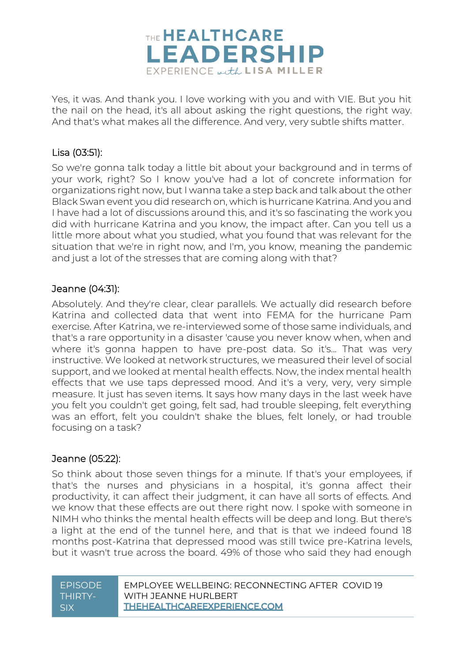

Yes, it was. And thank you. I love working with you and with VIE. But you hit the nail on the head, it's all about asking the right questions, the right way. And that's what makes all the difference. And very, very subtle shifts matter.

#### Lisa (03:51):

So we're gonna talk today a little bit about your background and in terms of your work, right? So I know you've had a lot of concrete information for organizations right now, but I wanna take a step back and talk about the other Black Swan event you did research on, which is hurricane Katrina. And you and I have had a lot of discussions around this, and it's so fascinating the work you did with hurricane Katrina and you know, the impact after. Can you tell us a little more about what you studied, what you found that was relevant for the situation that we're in right now, and I'm, you know, meaning the pandemic and just a lot of the stresses that are coming along with that?

#### Jeanne (04:31):

Absolutely. And they're clear, clear parallels. We actually did research before Katrina and collected data that went into FEMA for the hurricane Pam exercise. After Katrina, we re-interviewed some of those same individuals, and that's a rare opportunity in a disaster 'cause you never know when, when and where it's gonna happen to have pre-post data. So it's... That was very instructive. We looked at network structures, we measured their level of social support, and we looked at mental health effects. Now, the index mental health effects that we use taps depressed mood. And it's a very, very, very simple measure. It just has seven items. It says how many days in the last week have you felt you couldn't get going, felt sad, had trouble sleeping, felt everything was an effort, felt you couldn't shake the blues, felt lonely, or had trouble focusing on a task?

#### Jeanne (05:22):

So think about those seven things for a minute. If that's your employees, if that's the nurses and physicians in a hospital, it's gonna affect their productivity, it can affect their judgment, it can have all sorts of effects. And we know that these effects are out there right now. I spoke with someone in NIMH who thinks the mental health effects will be deep and long. But there's a light at the end of the tunnel here, and that is that we indeed found 18 months post-Katrina that depressed mood was still twice pre-Katrina levels, but it wasn't true across the board. 49% of those who said they had enough

| <b>FPISODE</b> | FMPLOYEE WELLBEING: RECONNECTING AFTER COVID 19 |
|----------------|-------------------------------------------------|
| THIRTY-        | WITH JFANNF HURI BFRT                           |
| . SIX          | THEHEALTHCAREEXPERIENCE.COM                     |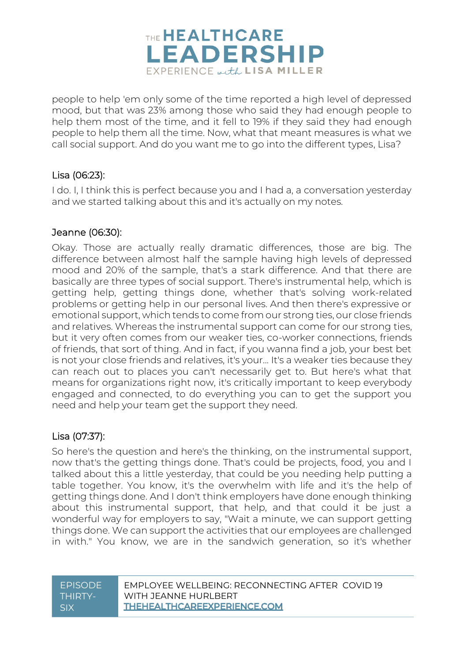

people to help 'em only some of the time reported a high level of depressed mood, but that was 23% among those who said they had enough people to help them most of the time, and it fell to 19% if they said they had enough people to help them all the time. Now, what that meant measures is what we call social support. And do you want me to go into the different types, Lisa?

#### Lisa (06:23):

I do. I, I think this is perfect because you and I had a, a conversation yesterday and we started talking about this and it's actually on my notes.

#### Jeanne (06:30):

Okay. Those are actually really dramatic differences, those are big. The difference between almost half the sample having high levels of depressed mood and 20% of the sample, that's a stark difference. And that there are basically are three types of social support. There's instrumental help, which is getting help, getting things done, whether that's solving work-related problems or getting help in our personal lives. And then there's expressive or emotional support, which tends to come from our strong ties, our close friends and relatives. Whereas the instrumental support can come for our strong ties, but it very often comes from our weaker ties, co-worker connections, friends of friends, that sort of thing. And in fact, if you wanna find a job, your best bet is not your close friends and relatives, it's your... It's a weaker ties because they can reach out to places you can't necessarily get to. But here's what that means for organizations right now, it's critically important to keep everybody engaged and connected, to do everything you can to get the support you need and help your team get the support they need.

#### Lisa (07:37):

So here's the question and here's the thinking, on the instrumental support, now that's the getting things done. That's could be projects, food, you and I talked about this a little yesterday, that could be you needing help putting a table together. You know, it's the overwhelm with life and it's the help of getting things done. And I don't think employers have done enough thinking about this instrumental support, that help, and that could it be just a wonderful way for employers to say, "Wait a minute, we can support getting things done. We can support the activities that our employees are challenged in with." You know, we are in the sandwich generation, so it's whether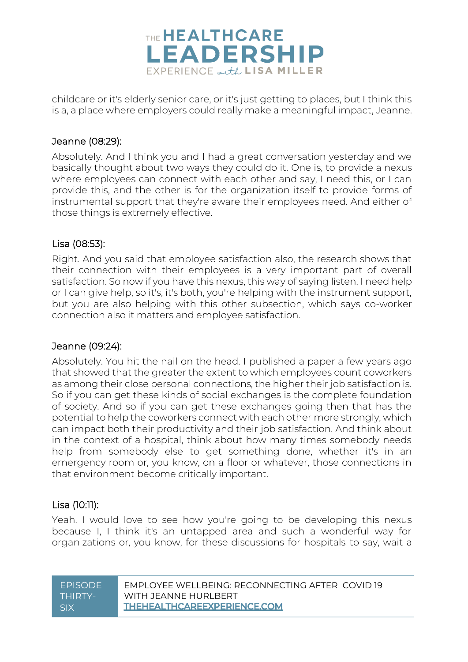

childcare or it's elderly senior care, or it's just getting to places, but I think this is a, a place where employers could really make a meaningful impact, Jeanne.

#### Jeanne (08:29):

Absolutely. And I think you and I had a great conversation yesterday and we basically thought about two ways they could do it. One is, to provide a nexus where employees can connect with each other and say, I need this, or I can provide this, and the other is for the organization itself to provide forms of instrumental support that they're aware their employees need. And either of those things is extremely effective.

#### Lisa (08:53):

Right. And you said that employee satisfaction also, the research shows that their connection with their employees is a very important part of overall satisfaction. So now if you have this nexus, this way of saying listen, I need help or I can give help, so it's, it's both, you're helping with the instrument support, but you are also helping with this other subsection, which says co-worker connection also it matters and employee satisfaction.

#### Jeanne (09:24):

Absolutely. You hit the nail on the head. I published a paper a few years ago that showed that the greater the extent to which employees count coworkers as among their close personal connections, the higher their job satisfaction is. So if you can get these kinds of social exchanges is the complete foundation of society. And so if you can get these exchanges going then that has the potential to help the coworkers connect with each other more strongly, which can impact both their productivity and their job satisfaction. And think about in the context of a hospital, think about how many times somebody needs help from somebody else to get something done, whether it's in an emergency room or, you know, on a floor or whatever, those connections in that environment become critically important.

#### Lisa (10:11):

Yeah. I would love to see how you're going to be developing this nexus because I, I think it's an untapped area and such a wonderful way for organizations or, you know, for these discussions for hospitals to say, wait a

| <b>FPISODE</b> | <b>FMPLOYEE WELL BEING: RECONNECTING AFTER COVID 19</b> |
|----------------|---------------------------------------------------------|
| THIRTY-        | WITH JFANNF HURI BFRT                                   |
| SIX            | THEHEALTHCAREEXPERIENCE.COM                             |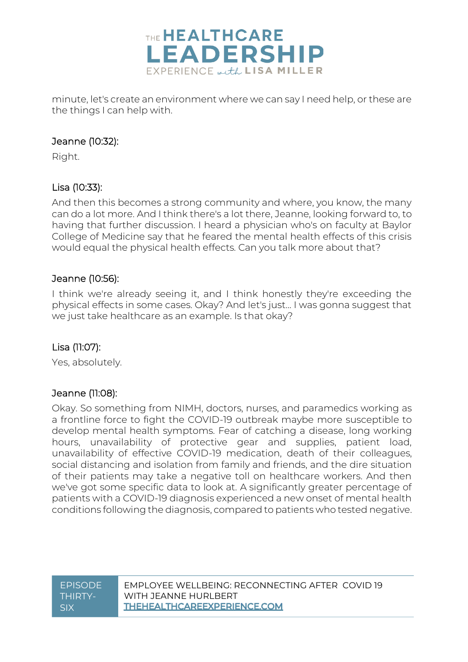

minute, let's create an environment where we can say I need help, or these are the things I can help with.

#### Jeanne (10:32):

Right.

### Lisa (10:33):

And then this becomes a strong community and where, you know, the many can do a lot more. And I think there's a lot there, Jeanne, looking forward to, to having that further discussion. I heard a physician who's on faculty at Baylor College of Medicine say that he feared the mental health effects of this crisis would equal the physical health effects. Can you talk more about that?

#### Jeanne (10:56):

I think we're already seeing it, and I think honestly they're exceeding the physical effects in some cases. Okay? And let's just... I was gonna suggest that we just take healthcare as an example. Is that okay?

#### Lisa (11:07):

Yes, absolutely.

#### Jeanne (11:08):

Okay. So something from NIMH, doctors, nurses, and paramedics working as a frontline force to fight the COVID-19 outbreak maybe more susceptible to develop mental health symptoms. Fear of catching a disease, long working hours, unavailability of protective gear and supplies, patient load, unavailability of effective COVID-19 medication, death of their colleagues, social distancing and isolation from family and friends, and the dire situation of their patients may take a negative toll on healthcare workers. And then we've got some specific data to look at. A significantly greater percentage of patients with a COVID-19 diagnosis experienced a new onset of mental health conditions following the diagnosis, compared to patients who tested negative.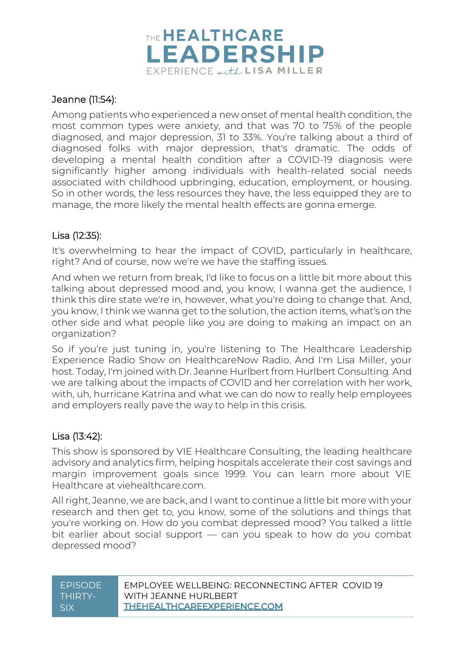

#### Jeanne (11:54):

Among patients who experienced a new onset of mental health condition, the most common types were anxiety, and that was 70 to 75% of the people diagnosed, and major depression, 31 to 33%. You're talking about a third of diagnosed folks with major depression, that's dramatic. The odds of developing a mental health condition after a COVID-19 diagnosis were significantly higher among individuals with health-related social needs associated with childhood upbringing, education, employment, or housing. So in other words, the less resources they have, the less equipped they are to manage, the more likely the mental health effects are gonna emerge.

#### Lisa (12:35):

It's overwhelming to hear the impact of COVID, particularly in healthcare, right? And of course, now we're we have the staffing issues.

And when we return from break, I'd like to focus on a little bit more about this talking about depressed mood and, you know, I wanna get the audience, I think this dire state we're in, however, what you're doing to change that. And, you know, I think we wanna get to the solution, the action items, what's on the other side and what people like you are doing to making an impact on an organization?

So if you're just tuning in, you're listening to The Healthcare Leadership Experience Radio Show on HealthcareNow Radio. And I'm Lisa Miller, your host. Today, I'm joined with Dr. Jeanne Hurlbert from Hurlbert Consulting. And we are talking about the impacts of COVID and her correlation with her work, with, uh, hurricane Katrina and what we can do now to really help employees and employers really pave the way to help in this crisis.

#### Lisa (13:42):

This show is sponsored by VIE Healthcare Consulting, the leading healthcare advisory and analytics firm, helping hospitals accelerate their cost savings and margin improvement goals since 1999. You can learn more about VIE Healthcare at viehealthcare.com.

All right, Jeanne, we are back, and I want to continue a little bit more with your research and then get to, you know, some of the solutions and things that you're working on. How do you combat depressed mood? You talked a little bit earlier about social support — can you speak to how do you combat depressed mood?

| <b>FPISODE</b>   | FMPLOYEE WELLBEING: RECONNECTING AFTER COVID 19 |
|------------------|-------------------------------------------------|
| THIRTY-          | WITH JFANNF HURI BFRT                           |
| SIX <sup>-</sup> | <b>THEHEALTHCAREEXPERIENCE.COM</b>              |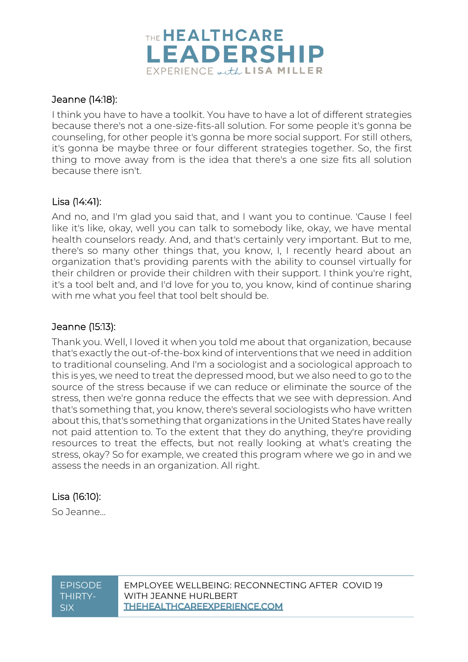

#### Jeanne (14:18):

I think you have to have a toolkit. You have to have a lot of different strategies because there's not a one-size-fits-all solution. For some people it's gonna be counseling, for other people it's gonna be more social support. For still others, it's gonna be maybe three or four different strategies together. So, the first thing to move away from is the idea that there's a one size fits all solution because there isn't.

#### Lisa (14:41):

And no, and I'm glad you said that, and I want you to continue. 'Cause I feel like it's like, okay, well you can talk to somebody like, okay, we have mental health counselors ready. And, and that's certainly very important. But to me, there's so many other things that, you know, I, I recently heard about an organization that's providing parents with the ability to counsel virtually for their children or provide their children with their support. I think you're right, it's a tool belt and, and I'd love for you to, you know, kind of continue sharing with me what you feel that tool belt should be.

#### Jeanne (15:13):

Thank you. Well, I loved it when you told me about that organization, because that's exactly the out-of-the-box kind of interventions that we need in addition to traditional counseling. And I'm a sociologist and a sociological approach to this is yes, we need to treat the depressed mood, but we also need to go to the source of the stress because if we can reduce or eliminate the source of the stress, then we're gonna reduce the effects that we see with depression. And that's something that, you know, there's several sociologists who have written about this, that's something that organizations in the United States have really not paid attention to. To the extent that they do anything, they're providing resources to treat the effects, but not really looking at what's creating the stress, okay? So for example, we created this program where we go in and we assess the needs in an organization. All right.

#### Lisa (16:10):

So Jeanne...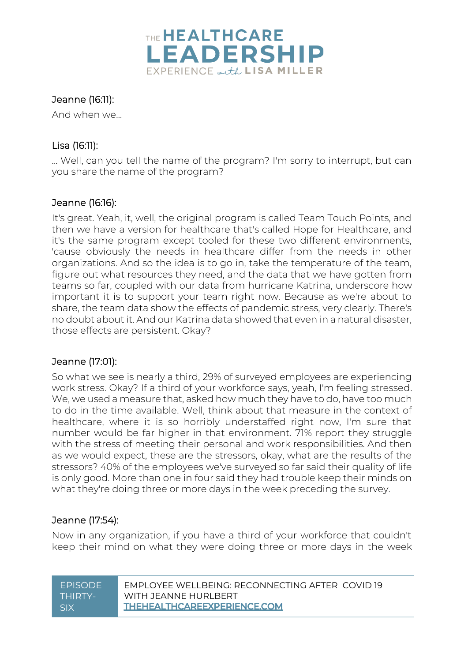

#### Jeanne (16:11):

And when we…

#### Lisa (16:11):

... Well, can you tell the name of the program? I'm sorry to interrupt, but can you share the name of the program?

#### Jeanne (16:16):

It's great. Yeah, it, well, the original program is called Team Touch Points, and then we have a version for healthcare that's called Hope for Healthcare, and it's the same program except tooled for these two different environments, 'cause obviously the needs in healthcare differ from the needs in other organizations. And so the idea is to go in, take the temperature of the team, figure out what resources they need, and the data that we have gotten from teams so far, coupled with our data from hurricane Katrina, underscore how important it is to support your team right now. Because as we're about to share, the team data show the effects of pandemic stress, very clearly. There's no doubt about it. And our Katrina data showed that even in a natural disaster, those effects are persistent. Okay?

#### Jeanne (17:01):

So what we see is nearly a third, 29% of surveyed employees are experiencing work stress. Okay? If a third of your workforce says, yeah, I'm feeling stressed. We, we used a measure that, asked how much they have to do, have too much to do in the time available. Well, think about that measure in the context of healthcare, where it is so horribly understaffed right now, I'm sure that number would be far higher in that environment. 71% report they struggle with the stress of meeting their personal and work responsibilities. And then as we would expect, these are the stressors, okay, what are the results of the stressors? 40% of the employees we've surveyed so far said their quality of life is only good. More than one in four said they had trouble keep their minds on what they're doing three or more days in the week preceding the survey.

#### Jeanne (17:54):

Now in any organization, if you have a third of your workforce that couldn't keep their mind on what they were doing three or more days in the week

| <b>FPISODE</b> | FMPLOYEE WELLBEING: RECONNECTING AFTER COVID 19 |
|----------------|-------------------------------------------------|
| THIRTY-        | WITH JFANNF HURI BFRT                           |
| SIX            | THEHEALTHCAREEXPERIENCE.COM                     |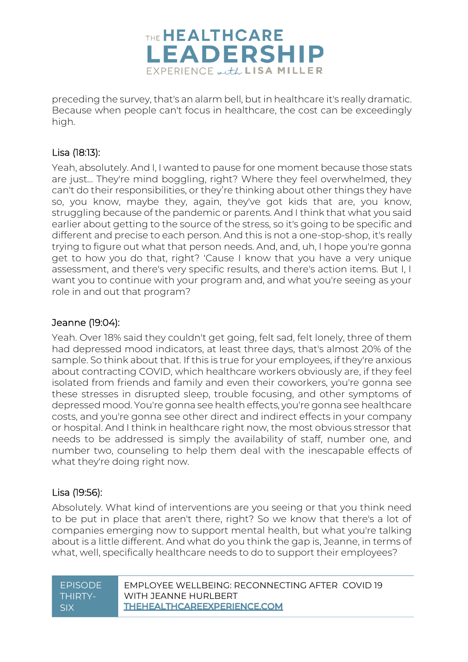

preceding the survey, that's an alarm bell, but in healthcare it's really dramatic. Because when people can't focus in healthcare, the cost can be exceedingly high.

#### Lisa (18:13):

Yeah, absolutely. And I, I wanted to pause for one moment because those stats are just... They're mind boggling, right? Where they feel overwhelmed, they can't do their responsibilities, or they're thinking about other things they have so, you know, maybe they, again, they've got kids that are, you know, struggling because of the pandemic or parents. And I think that what you said earlier about getting to the source of the stress, so it's going to be specific and different and precise to each person. And this is not a one-stop-shop, it's really trying to figure out what that person needs. And, and, uh, I hope you're gonna get to how you do that, right? 'Cause I know that you have a very unique assessment, and there's very specific results, and there's action items. But I, I want you to continue with your program and, and what you're seeing as your role in and out that program?

#### Jeanne (19:04):

Yeah. Over 18% said they couldn't get going, felt sad, felt lonely, three of them had depressed mood indicators, at least three days, that's almost 20% of the sample. So think about that. If this is true for your employees, if they're anxious about contracting COVID, which healthcare workers obviously are, if they feel isolated from friends and family and even their coworkers, you're gonna see these stresses in disrupted sleep, trouble focusing, and other symptoms of depressed mood. You're gonna see health effects, you're gonna see healthcare costs, and you're gonna see other direct and indirect effects in your company or hospital. And I think in healthcare right now, the most obvious stressor that needs to be addressed is simply the availability of staff, number one, and number two, counseling to help them deal with the inescapable effects of what they're doing right now.

#### Lisa (19:56):

Absolutely. What kind of interventions are you seeing or that you think need to be put in place that aren't there, right? So we know that there's a lot of companies emerging now to support mental health, but what you're talking about is a little different. And what do you think the gap is, Jeanne, in terms of what, well, specifically healthcare needs to do to support their employees?

| <b>FPISODE</b> | FMPLOYEE WELLBEING: RECONNECTING AFTER COVID 19 |
|----------------|-------------------------------------------------|
| THIRTY-        | WITH JFANNF HURI BFRT                           |
| SIX            | <b>THEHEALTHCAREEXPERIENCE.COM</b>              |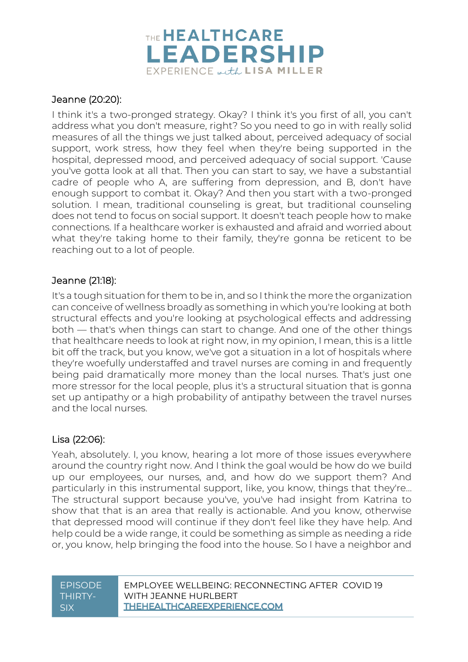

#### Jeanne (20:20):

I think it's a two-pronged strategy. Okay? I think it's you first of all, you can't address what you don't measure, right? So you need to go in with really solid measures of all the things we just talked about, perceived adequacy of social support, work stress, how they feel when they're being supported in the hospital, depressed mood, and perceived adequacy of social support. 'Cause you've gotta look at all that. Then you can start to say, we have a substantial cadre of people who A, are suffering from depression, and B, don't have enough support to combat it. Okay? And then you start with a two-pronged solution. I mean, traditional counseling is great, but traditional counseling does not tend to focus on social support. It doesn't teach people how to make connections. If a healthcare worker is exhausted and afraid and worried about what they're taking home to their family, they're gonna be reticent to be reaching out to a lot of people.

#### Jeanne (21:18):

It's a tough situation for them to be in, and so I think the more the organization can conceive of wellness broadly as something in which you're looking at both structural effects and you're looking at psychological effects and addressing both — that's when things can start to change. And one of the other things that healthcare needs to look at right now, in my opinion, I mean, this is a little bit off the track, but you know, we've got a situation in a lot of hospitals where they're woefully understaffed and travel nurses are coming in and frequently being paid dramatically more money than the local nurses. That's just one more stressor for the local people, plus it's a structural situation that is gonna set up antipathy or a high probability of antipathy between the travel nurses and the local nurses.

#### Lisa (22:06):

Yeah, absolutely. I, you know, hearing a lot more of those issues everywhere around the country right now. And I think the goal would be how do we build up our employees, our nurses, and, and how do we support them? And particularly in this instrumental support, like, you know, things that they're... The structural support because you've, you've had insight from Katrina to show that that is an area that really is actionable. And you know, otherwise that depressed mood will continue if they don't feel like they have help. And help could be a wide range, it could be something as simple as needing a ride or, you know, help bringing the food into the house. So I have a neighbor and

| <b>FPISODE</b> | EMPLOYEE WELLBEING: RECONNECTING AFTER COVID 19 |
|----------------|-------------------------------------------------|
| THIRTY-        | WITH JFANNF HURI BFRT                           |
| .SIX           | <b>THEHEALTHCAREEXPERIENCE.COM</b>              |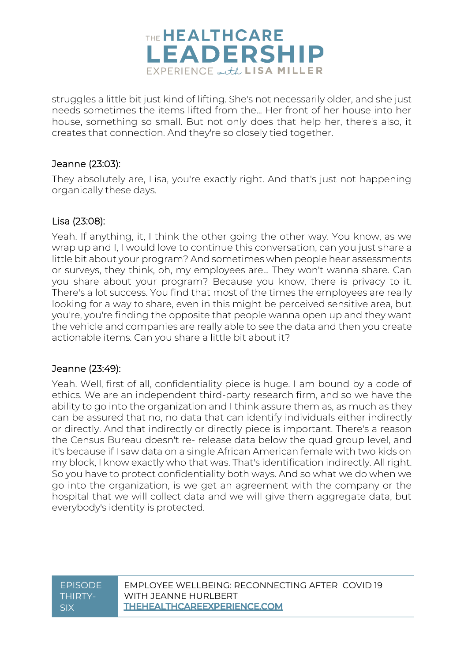

struggles a little bit just kind of lifting. She's not necessarily older, and she just needs sometimes the items lifted from the... Her front of her house into her house, something so small. But not only does that help her, there's also, it creates that connection. And they're so closely tied together.

#### Jeanne (23:03):

They absolutely are, Lisa, you're exactly right. And that's just not happening organically these days.

#### Lisa (23:08):

Yeah. If anything, it, I think the other going the other way. You know, as we wrap up and I, I would love to continue this conversation, can you just share a little bit about your program? And sometimes when people hear assessments or surveys, they think, oh, my employees are... They won't wanna share. Can you share about your program? Because you know, there is privacy to it. There's a lot success. You find that most of the times the employees are really looking for a way to share, even in this might be perceived sensitive area, but you're, you're finding the opposite that people wanna open up and they want the vehicle and companies are really able to see the data and then you create actionable items. Can you share a little bit about it?

#### Jeanne (23:49):

Yeah. Well, first of all, confidentiality piece is huge. I am bound by a code of ethics. We are an independent third-party research firm, and so we have the ability to go into the organization and I think assure them as, as much as they can be assured that no, no data that can identify individuals either indirectly or directly. And that indirectly or directly piece is important. There's a reason the Census Bureau doesn't re- release data below the quad group level, and it's because if I saw data on a single African American female with two kids on my block, I know exactly who that was. That's identification indirectly. All right. So you have to protect confidentiality both ways. And so what we do when we go into the organization, is we get an agreement with the company or the hospital that we will collect data and we will give them aggregate data, but everybody's identity is protected.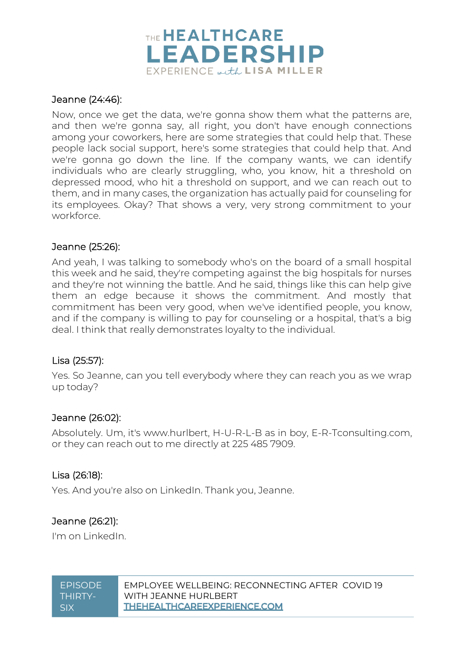

#### Jeanne (24:46):

Now, once we get the data, we're gonna show them what the patterns are, and then we're gonna say, all right, you don't have enough connections among your coworkers, here are some strategies that could help that. These people lack social support, here's some strategies that could help that. And we're gonna go down the line. If the company wants, we can identify individuals who are clearly struggling, who, you know, hit a threshold on depressed mood, who hit a threshold on support, and we can reach out to them, and in many cases, the organization has actually paid for counseling for its employees. Okay? That shows a very, very strong commitment to your workforce.

#### Jeanne (25:26):

And yeah, I was talking to somebody who's on the board of a small hospital this week and he said, they're competing against the big hospitals for nurses and they're not winning the battle. And he said, things like this can help give them an edge because it shows the commitment. And mostly that commitment has been very good, when we've identified people, you know, and if the company is willing to pay for counseling or a hospital, that's a big deal. I think that really demonstrates loyalty to the individual.

#### Lisa (25:57):

Yes. So Jeanne, can you tell everybody where they can reach you as we wrap up today?

#### Jeanne (26:02):

Absolutely. Um, it's www.hurlbert, H-U-R-L-B as in boy, E-R-Tconsulting.com, or they can reach out to me directly at 225 485 7909.

#### Lisa (26:18):

Yes. And you're also on LinkedIn. Thank you, Jeanne.

#### Jeanne (26:21):

I'm on LinkedIn.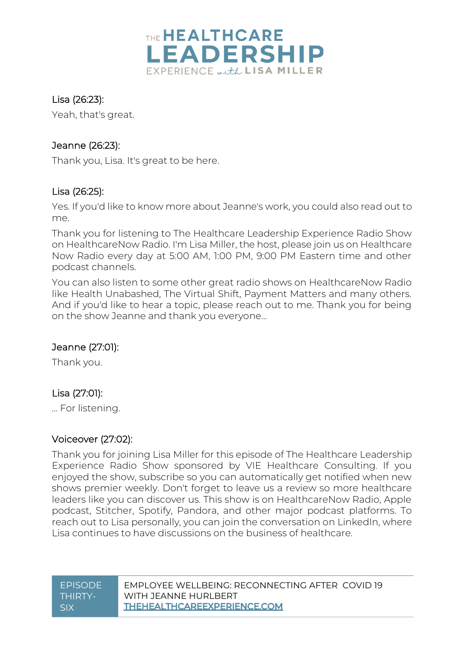

#### Lisa (26:23):

Yeah, that's great.

#### Jeanne (26:23):

Thank you, Lisa. It's great to be here.

#### Lisa (26:25):

Yes. If you'd like to know more about Jeanne's work, you could also read out to me.

Thank you for listening to The Healthcare Leadership Experience Radio Show on HealthcareNow Radio. I'm Lisa Miller, the host, please join us on Healthcare Now Radio every day at 5:00 AM, 1:00 PM, 9:00 PM Eastern time and other podcast channels.

You can also listen to some other great radio shows on HealthcareNow Radio like Health Unabashed, The Virtual Shift, Payment Matters and many others. And if you'd like to hear a topic, please reach out to me. Thank you for being on the show Jeanne and thank you everyone...

#### Jeanne (27:01):

Thank you.

#### Lisa (27:01):

... For listening.

#### Voiceover (27:02):

Thank you for joining Lisa Miller for this episode of The Healthcare Leadership Experience Radio Show sponsored by VIE Healthcare Consulting. If you enjoyed the show, subscribe so you can automatically get notified when new shows premier weekly. Don't forget to leave us a review so more healthcare leaders like you can discover us. This show is on HealthcareNow Radio, Apple podcast, Stitcher, Spotify, Pandora, and other major podcast platforms. To reach out to Lisa personally, you can join the conversation on LinkedIn, where Lisa continues to have discussions on the business of healthcare.

| <b>FPISODE</b> | EMPLOYEE WELLBEING: RECONNECTING AFTER COVID 19 |
|----------------|-------------------------------------------------|
| THIRTY-        | WITH JEANNE HURLBERT                            |
| SIX            | <b>THEHEALTHCAREEXPERIENCE.COM</b>              |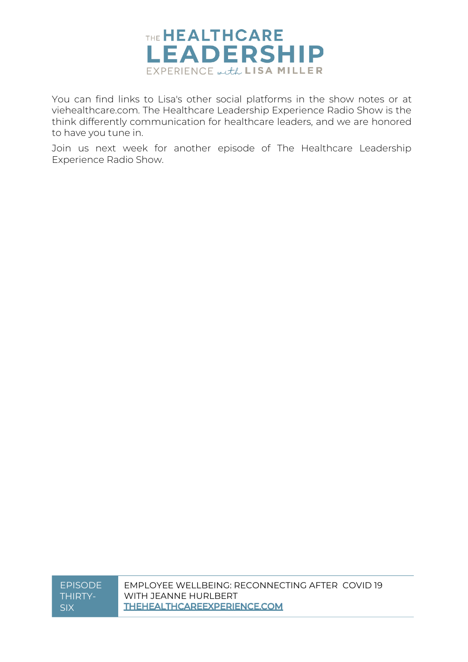

You can find links to Lisa's other social platforms in the show notes or at viehealthcare.com. The Healthcare Leadership Experience Radio Show is the think differently communication for healthcare leaders, and we are honored to have you tune in.

Join us next week for another episode of The Healthcare Leadership Experience Radio Show.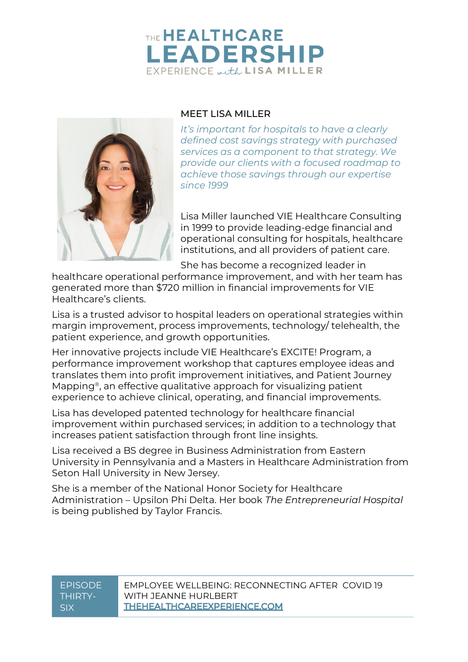## THE HEALTHCARE **LEADERSHIP** EXPERIENCE with LISA MILLER



#### MEET LISA MILLER

*It's important for hospitals to have a clearly defined cost savings strategy with purchased services as a component to that strategy. We provide our clients with a focused roadmap to achieve those savings through our expertise since 1999*

Lisa Miller launched VIE Healthcare Consulting in 1999 to provide leading-edge financial and operational consulting for hospitals, healthcare institutions, and all providers of patient care.

She has become a recognized leader in

healthcare operational performance improvement, and with her team has generated more than \$720 million in financial improvements for VIE Healthcare's clients.

Lisa is a trusted advisor to hospital leaders on operational strategies within margin improvement, process improvements, technology/ telehealth, the patient experience, and growth opportunities.

Her innovative projects include VIE Healthcare's EXCITE! Program, a performance improvement workshop that captures employee ideas and translates them into profit improvement initiatives, and Patient Journey Mapping®, an effective qualitative approach for visualizing patient experience to achieve clinical, operating, and financial improvements.

Lisa has developed patented technology for healthcare financial improvement within purchased services; in addition to a technology that increases patient satisfaction through front line insights.

Lisa received a BS degree in Business Administration from Eastern University in Pennsylvania and a Masters in Healthcare Administration from Seton Hall University in New Jersey.

She is a member of the National Honor Society for Healthcare Administration – Upsilon Phi Delta. Her book *The Entrepreneurial Hospital* is being published by Taylor Francis.

#### EPISODE EMPLOYEE WELLBEING: RECONNECTING AFTER COVID 19 THIRTY-WITH JFANNF HURLBERT **THEHEALTHCAREEXPERIENCE.COM** SIX